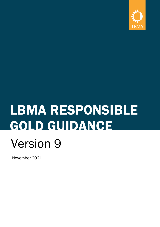

# LBMA RESPONSIBLE GOLD GUIDANCE Version 9

November 2021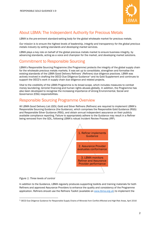

# About LBMA: The Independent Authority for Precious Metals

LBMA is the pre-eminent standard-setting body for the global wholesale market for precious metals.

*Our mission is to ensure the highest levels of leadership, integrity and transparency for the global precious metals industry by setting standards and developing market services.*

LBMA plays a key role on behalf of the global precious metals market to ensure business integrity, by advancing standards, acting as a voice and champion for the market, and developing market solutions.

### Commitment to Responsible Sourcing

LBMA's Responsible Sourcing Programme (the Programme) protects the integrity of the global supply chain for the wholesale precious metals markets. It was set up to consolidate, strengthen and formalise the existing standards of the LBMA Good Delivery Refiners' (Refiners) due diligence practices. LBMA was actively involved in drafting the OECD Due Diligence Guidance[1](#page-1-0) and its Gold Supplement and continues to support the OECD's work in supply chain due diligence and related projects.

Vital to the credibility of the LBMA Programme is its broad scope, which includes measures to combat money laundering, terrorist financing and human rights abuses globally. In addition, the Programme has also been developed to recognise the increasing importance of strong Environmental, Social and Governance (ESG) responsibilities.

### Responsible Sourcing Programme Overview

All LBMA Good Delivery List (GDL) Gold and Silver Refiners (Refiners) are required to implement LBMA's Responsible Sourcing Guidance (the Guidance), which comprises the Responsible Gold Guidance (RGG) and Responsible Silver Guidance (RSG), and obtain annual independent assurance on their publicly available compliance reporting. Failure to appropriately adhere to the Guidance may result in a Refiner being removed from the GDL, following LBMA's robust Incident Review Process (IRP).



#### *Figure 1: Three levels of control*

In addition to the Guidance, LBMA regularly produces supporting toolkits and training materials for both Refiners and approved Assurance Providers to enhance the quality and consistency of the Programme application. Refiners should use the Refiners Toolkit (available on [www.lbma.org.uk\)](http://www.lbma.org.uk/) to implement the

<span id="page-1-0"></span><sup>1</sup> OECD Due Diligence Guidance for Responsible Supply Chains of Minerals from Conflict-Affected and High-Risk Areas, April 2016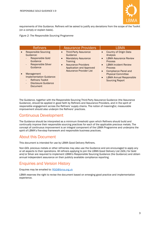

requirements of this Guidance. Refiners will be asked to justify any deviations from the scope of the Toolkit (on a comply or explain basis).

*Figure 2: The Responsible Sourcing Programme*

|           | <b>Refiners</b>                                                                                                                                                                                                                         | <b>Assurance Providers</b>                                                                                                                                                                                            | LBMA                                                                                                                                                                                                                                                                                                                           |
|-----------|-----------------------------------------------------------------------------------------------------------------------------------------------------------------------------------------------------------------------------------------|-----------------------------------------------------------------------------------------------------------------------------------------------------------------------------------------------------------------------|--------------------------------------------------------------------------------------------------------------------------------------------------------------------------------------------------------------------------------------------------------------------------------------------------------------------------------|
| $\bullet$ | <b>Responsible Sourcing</b><br>Guidance:<br><b>Responsible Gold</b><br>Guidance<br><b>Responsible Silver</b><br>Guidance<br>Management<br><b>Implementation Guidance:</b><br><b>Refiners Toolkit</b><br>Disclosure Guidance<br>Document | <b>Third-Party Assurance</b><br>$\bullet$<br>Guidance<br><b>Mandatory Assurance</b><br>$\bullet$<br>Training<br><b>Assurance Providers</b><br>$\bullet$<br><b>Application and Approved</b><br>Assurance Provider List | Country of Origin Data<br>$\bullet$<br>Analysis<br><b>LBMA Assurance Review</b><br>$\bullet$<br><b>Process</b><br><b>LBMA Incident Review</b><br>$\bullet$<br><b>Process</b><br><b>Compliance Panel and</b><br>$\bullet$<br><b>Physical Committee</b><br><b>LBMA Annual Responsible</b><br>$\bullet$<br><b>Sourcing Report</b> |

The Guidance, together with the Responsible Sourcing Third-Party Assurance Guidance (the Assurance Guidance), should be applied in good faith by Refiners and Assurance Providers, and in the spirit of responsible engagement across the Refiners' supply chains. The notion of meaningful, measurable improvement should also underpin the Refiners' practices.

### Continuous Development

The Guidance should be interpreted as a minimum threshold upon which Refiners should build and continually improve their responsible sourcing practices for each of the applicable precious metals. The concept of continuous improvement is an integral component of the LBMA Programme and underpins the spirit of LBMA's five-step framework and responsible business practices.

### About this Document

This document is intended for use by LBMA Good Delivery Refiners.

Non-GDL precious metals or other refineries may also use the Guidance and are encouraged to apply any or all aspects to their operations. All refiners applying to join the LBMA Good Delivery List (GDL) for Gold and/or Silver are required to implement LBMA's Responsible Sourcing Guidance (the Guidance) and obtain annual independent assurance on their publicly available compliance reporting.

### Enquiries and Version History

Enquires may be emailed to: [RGG@lbma.org.uk](mailto:RGG@lbma.org.uk)

LBMA reserves the right to revise the document based on emerging good practice and implementation experience.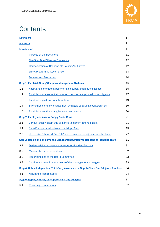

# **Contents**

| <b>Definitions</b>                                                                |                                                                                          | 5  |  |
|-----------------------------------------------------------------------------------|------------------------------------------------------------------------------------------|----|--|
| <b>Acronyms</b>                                                                   |                                                                                          |    |  |
| <b>Introduction</b>                                                               |                                                                                          |    |  |
|                                                                                   | <b>Purpose of the Document</b>                                                           | 11 |  |
|                                                                                   | <b>Five-Step Due Diligence Framework</b>                                                 | 12 |  |
|                                                                                   | <b>Harmonisation of Responsible Sourcing Initiatives</b>                                 | 12 |  |
|                                                                                   | <b>LBMA Programme Governance</b>                                                         | 13 |  |
|                                                                                   | <b>Training and Resources</b>                                                            | 14 |  |
|                                                                                   | <b>Step 1: Establish Strong Company Management Systems</b>                               | 15 |  |
| 1.1                                                                               | Adopt and commit to a policy for gold supply chain due diligence                         | 15 |  |
| 1.2                                                                               | Establish management structures to support supply chain due diligence                    | 17 |  |
| 1.3                                                                               | Establish a gold traceability system                                                     | 19 |  |
| 1.4                                                                               | Strengthen company engagement with gold supplying counterparties                         | 19 |  |
| 1.5                                                                               | Establish a confidential grievance mechanism                                             | 20 |  |
| <b>Step 2: Identify and Assess Supply Chain Risks</b>                             |                                                                                          |    |  |
| 2.1                                                                               | Conduct supply chain due diligence to identify potential risks                           | 21 |  |
| 2.2                                                                               | Classify supply chains based on risk profiles                                            | 25 |  |
| 2.3                                                                               | Undertake Enhanced Due Diligence measures for high-risk supply chains                    | 27 |  |
| Step 3: Design and Implement a Management Strategy to Respond to Identified Risks |                                                                                          |    |  |
| 3.1                                                                               | Devise a risk management strategy for the identified risk                                | 31 |  |
| 3.2                                                                               | Monitor the improvement plan                                                             | 32 |  |
| 3.3                                                                               | <b>Report findings to the Board Committee</b>                                            | 33 |  |
| 3.4                                                                               | Continuously monitor adequacy of risk management strategies                              | 33 |  |
|                                                                                   | Step 4: Obtain Independent Third-Party Assurance on Supply Chain Due Diligence Practices | 34 |  |
| 4.1                                                                               | <b>Assurance requirements</b>                                                            | 34 |  |
|                                                                                   | <b>Step 5: Report Annually on Supply Chain Due Diligence</b>                             |    |  |
| 5.1                                                                               | <b>Reporting requirements</b>                                                            | 37 |  |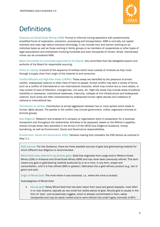

# <span id="page-4-0"></span>**Definitions**

Artisanal and Small-Scale Mining (ASM): Formal or informal mining operations with predominantly simplified forms of exploration, extraction, processing and transportation. ASM is normally not capital intensive and uses high labour-intensive technology. It can include men and women working on an individual basis as well as those working in family groups or as members of cooperatives or other types of legal associations and enterprises involving hundreds and even thousands of miners. Small, mechanised mines can be considered ASM.

Board Committee (or committee appointed by the Board): Any committee that has delegated powers and authority of the Board for responsible sourcing.

Chain of custody: A record of the sequence of entities which have custody of minerals as they move through a supply chain from origin of the material to end consumer.

Conflict-Affected and High-Risk Areas (CAHRA): These areas are identified by the presence of armed conflict, widespread violence or other risks of harm to people. Armed conflict may take a variety of forms, such as a conflict of international or non-international character, which may involve two or more states, or may consist of wars of liberation, insurgencies, civil wars, etc. High-risk areas may include areas of political instability or repression, institutional weakness, insecurity, collapse of civil infrastructure and widespread violence. Such areas are often characterised by widespread human rights abuses and violations of national or international law.

Contribution to conflict: Contribution to armed aggression between two or more parties which leads to human rights abuses. The parties in the conflict may include government, militia, organised criminals or terrorist groups.

Due diligence: Research and analysis of a company or organisation done in preparation for a business transaction and throughout the relationship. Activities to be assessed, based on the Refiner's appetite, should include those risks identified in the Annex II of the OECD Due Diligence Guidance, money laundering, as well as Environment, Social and Governance responsibilities.

Environment, Social and Governance (ESG): Decision-making that considers the ESG factors as outlined in Step 1.1.

Gold sources: For this Guidance, there are three possible sources of gold and gold-bearing material for which different due diligence is recommended.

Mined Gold (also referred to as primary gold): Gold that originates from Large and/or Medium-Scale Mines (LSM) or Artisanal and Small-Scale Mines (ASM) and has never been previously refined. This term means any gold or gold-bearing material produced by or at a mine, in any form, shape and concentration, until it is fully refined (995 or greater), fabricated into a gold refinery product (e.g., bar or grain) and sold.

Origin of Mined Gold: The mine where it was extracted, i.e., where the mine is located.

Subcategories of Mined Gold:

• Alluvial gold: Newly Mined Gold that has been taken from sand and gravel deposits, most often in or near streams, typically as very small but visible pieces of gold. Alluvial gold is usually in the form of 'dust', and occasionally nuggets, which is already concentrated in form, easily transported and may be easily melted and/or semi-refined into small ingots (normally of 85% -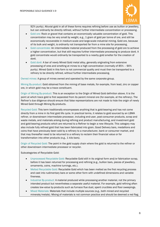

92% purity). Alluvial gold in all of these forms requires refining before use as bullion or jewellery, but can ordinarily be directly refined, without further intermediate concentration or processing.

- Gold ore: Rock or gravel that contains an economically valuable concentration of gold. This concentration may be very small by weight, e.g., 1 gram of gold per tonne of ore, and still be economically recoverable in medium-scale and large-scale industrial mining. Gold ore, because of its bulk and weight, is ordinarily not transported far from a mine site for processing.
- Gold concentrate: An intermediate material produced from the processing of gold ore to achieve a higher concentration, but that still requires further intermediate processing to produce doré. A gold concentrate would ordinarily be transported to a nearby gold smelter for the creation of doré.
- Gold doré: A bar of newly Mined Gold metal alloy, generally originating from extensive processing of ores and smelting at mines to a high concentration (normally of 85% – 90% purity). Mined Gold in this form is not commercial quality and must then be transported to a refinery to be directly refined, without further intermediate processing.

Owned mines: A group of mines owned and operated by the same corporate group.

Mining By-product: Gold obtained from the mining of base metals, for example, from lead, zinc or copper ore, in which gold may be a trace constituent.

Origin of Mining By-product: This is an exception to the Origin of Mined Gold definition above. It is the point at which trace gold is first separated from its parent mineral ore (for example, at the refinery). The Refiner's due diligence should ensure that false representations are not made to hide the origin of newly Mined Gold through Mining By-products.

Recycled Gold: This term traditionally encompasses anything that is gold-bearing and has not come directly from a mine in its first gold life cycle. In practical terms, it relates to gold sourced by an LBMA refiner, or downstream intermediate processor, including end-user, post-consumer products, scrap and waste metals, and materials arising during refining and product manufacturing, and investment gold and gold-bearing products which are returned to a Refiner to begin a new lifecycle. This category may also include fully refined gold that has been fabricated into grain, Good Delivery bars, medallions and coins that have previously been sold by a refinery to a manufacturer, bank or consumer market, and that may thereafter need to be returned to a refinery to reclaim their financial value or for transformation into other products (e.g., 1 kilo bars).

Origin of Recycled Gold: The point in the gold supply chain where the gold is returned to the refiner or other downstream intermediate processor or recycler.

Subcategories of Recyclable Gold:

- Unprocessed Recyclable Gold: Recyclable Gold still in its original form and/or fabrication scrap, before it has been returned for processing and refining (e.g., bullion bars, pieces of jewellery, ornaments, coins, machine turnings, etc.).
- Melted Recyclable Gold: Recyclable Gold which has been melted as the first recycling process and cast into rudimentary bars or some other form with undefined dimensions and variable fineness.
- Industrial By-product: A material produced while processing another material, not the primary intended product but nevertheless a separate useful material. For example, gold refining often creates low-value by-products such as furnace flue dust, spent crucibles and floor sweepings.
- Mixed Materials: Materials that include multiple sources (e.g., both mined and recycled minerals/metals). Mixing of materials is not common practice and should be deemed a red flag.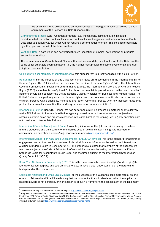

Due diligence should be conducted on those sources of mixed gold in accordance with the full requirements of the Responsible Gold Guidance (RGG).

Grandfathered Stocks: Gold investment products (e.g., ingots, bars, coins and grain in sealed containers) held in bullion bank vaults, central bank vaults, exchanges and refineries, with a Verifiable Date prior to 1 January 2012, which will not require a determination of origin. This includes stocks held by a third party on behalf of the listed entities.

Verifiable Date: A date which can be verified through inspection of physical date stamps on products and/or inventory lists.

The requirements for Grandfathered Stocks with a subsequent date, or without a Verifiable Date, are the same as for other gold-bearing material, i.e., the Refiner must provide the same level of origin and due diligence documentation.

Gold-supplying counterparty or counterparties: A gold supplier that is directly engaged with a gold Refiner.

Human rights: For the purpose of this Guidance, human rights are those defined in the International Bill of Human Rights. The Bill includes the Universal Declaration of Human Rights (1948), the International Covenant on Economic, Social and Cultural Rights (1966), the International Covenant on Civil and Political Rights (1966), as well as its two Optional Protocols (on the complaints procedure and on the death penalty).[2](#page-6-0) Refiners should also consider the United Nations Guiding Principles on Business and Human Rights. The United Nations has gradually expanded human rights law to encompass specific standards for women, children, persons with disabilities, minorities and other vulnerable groups, who now possess rights that protect them from discrimination that had long been common in many societies.<sup>[3](#page-6-1)</sup>

Intermediate Refiner: Non-GDL Refiner that has performed a refining process on material prior to delivery to the GDL Refiner. An Intermediate Refiner typically consolidates various streams such as jewellery scraps, electronic scrap and process recoveries into viable batches for refining. Melting-only operations are not considered Intermediate Refiners.

International Cyanide Management Code: A voluntary initiative for the gold and silver mining industries, and the producers and transporters of the cyanide used in gold and silver mining. It is intended to complement an operation's existing regulatory requirements [\(www.cyanidecode.org\)](https://lbmalondon-my.sharepoint.com/personal/sophie_firoz_lbma_org_uk1/Documents/Documents/SMM/RGG/www.cyanidecode.org).

International Standard on Assurance Engagements (ISAE 3000) revised: This is the standard for assurance engagements other than audits or reviews of historical financial information, issued by the International Auditing Standards Board in December 2013. The standard stipulates that members of the engagement team are subject to the Code of Ethics for Professional Accountants issued by the International Ethics Standards Board for Accountants (IESBA Code) and the firm is subject to the International Standard on Quality Control 1 (ISQC 1).

Know Your Customer or Counterparty (KYC): This is the process of a business identifying and verifying the identity of its counterparts and establishing the facts to have a clear understanding of the nature and background of the relationship.

Legitimate Artisanal and Small-Scale Mining: For the purposes of this Guidance, legitimate refers, among others, to Artisanal and Small-Scale Mining that is consistent with applicable laws. When the applicable legal framework is not enforced, or in the absence of such a framework, the assessment of the legitimacy

<span id="page-6-0"></span><sup>2</sup> UN Office of the High Commissioner on Human Rights[: http://www2.ohchr.org/english/law/](http://www2.ohchr.org/english/law/)

<span id="page-6-1"></span><sup>&</sup>lt;sup>3</sup> They include the Convention on the Prevention and Punishment of the Crime of Genocide (1948), the International Convention on the Elimination of All Forms of Racial Discrimination (1965), the Convention on the Elimination of All Forms of Discrimination against Women (1979), the Convention on the Rights of the Child (1989) and the Convention on the Rights of Persons with Disabilities (2006), among others. UN Human Rights: https://www.un.org/en/global-issues/human-rights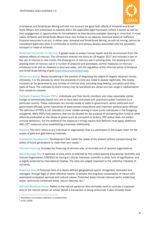

of Artisanal and Small-Scale Mining will take into account the good faith efforts of Artisanal and Small-Scale Miners and enterprises to operate within the applicable legal framework (where it exists) as well as their engagement in opportunities for formalisation as they become available (bearing in mind that, in most cases, Artisanal and Small-Scale Miners have very limited or no capacity, technical ability or sufficient financial resources to do so). In either case, Artisanal and Small-Scale Mining, as with all mining, cannot be considered legitimate when it contributes to conflict and serious abuses associated with the extraction, transport or trade of minerals.

Minamata Convention on Mercury: A global treaty to protect human health and the environment from the adverse effects of mercury. The convention entered into force on 16 August 2017 and includes a ban on the use of mercury in new mines, the phasing-out of mercury use in existing ones, the phasing-out and phasing down of mercury use in a number of products and processes, control measures on mercury emissions to air and on releases to land and water, and the regulation of the informal sector of Artisanal and Small-Scale Mining of gold (www.mercuryconvention.org).

Money laundering: Money laundering is the practice of disguising the origins of illegally obtained money. Ultimately, it is the process by which the proceeds of crime are made to appear legitimate. The money involved can be generated by any number of criminal acts, including drug dealing, corruption and other types of fraud. The methods by which money may be laundered are varied and can range in sophistication from simple to complex.

Politically Exposed Persons (PEPs): Individuals and their family members and close associates (either foreign or domestically based) who are or have been entrusted with prominent public functions by a particular country. These individuals can include heads of state or government, senior politicians and government officials, senior executives of state-owned corporations and important political party officials. The definition of PEPs is not intended to cover middle-ranking or more junior individuals in the foregoing categories. Many PEPs hold positions that can be abused for the purpose of laundering illicit funds or other offences predicated on the abuse of power such as corruption or bribery. PEP status does not predict criminal behaviour, but the additional risk exposure it brings means that Refiners must apply additional AML/CFT measures when establishing a business relationship.

Supplier: This term refers to any individual or organisation that is a participant in the supply chain for the supply of gold and gold-bearing materials.

Sustainable Development: Development that meets the needs of the present without compromising the ability of future generations to meet their own needs.[4](#page-7-0)

Terrorist financing: Includes the financing of terrorist acts, of terrorists and of terrorist organisations.

World Heritage Site: A landmark or area which is selected by the United Nations Educational, Scientific and Cultural Organization (UNESCO) as having a cultural, historical, scientific or other form of significance, and is legally protected by international treaties. The sites are judged important to the collective interests of humanity.

Protected Area: A Protected Area is a clearly defined geographical space, recognised, dedicated and managed, through legal or other effective means, to achieve the long-term conservation of nature with associated ecosystem services and cultural values. Protected Areas include national parks, wilderness areas, community conserved areas, nature reserves, etc.[5](#page-7-1)

Ultimate Beneficial Owner: Refers to the natural person(s) who ultimately owns or controls a customer and/or the natural person on whose behalf a transaction is being conducted. It also includes those

<span id="page-7-0"></span><sup>4</sup> Brundtland Commission definition of sustainability

<span id="page-7-1"></span><sup>5</sup> IUCN (2008)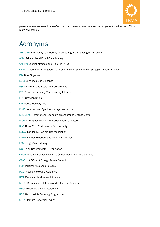

persons who exercise ultimate effective control over a legal person or arrangement (defined as 10% or more ownership).

# <span id="page-8-0"></span>Acronyms

AML-CFT: Anti-Money Laundering – Combating the Financing of Terrorism. ASM: Artisanal and Small-Scale Mining CAHRA: Conflict-Affected and High-Risk Area CRAFT: Code of Risk-mitigation for artisanal small-scale mining engaging in Formal Trade DD: Due Diligence EDD: Enhanced Due Diligence ESG: Environment, Social and Governance EITI: Extractive Industry Transparency Initiative EU: European Union GDL: Good Delivery List ICMC: International Cyanide Management Code ISAE 3000: International Standard on Assurance Engagements IUCN: International Union for Conservation of Nature KYC: Know Your Customer or Counterparty LBMA: London Bullion Market Association LPPM: London Platinum and Palladium Market LSM: Large-Scale Mining NGO: Non-Governmental Organisation OECD: Organisation for Economic Co-operation and Development OFAC: US Office of Foreign Assets Control PEP: Politically Exposed Persons RGG: Responsible Gold Guidance RMI: Responsible Minerals Initiative RPPG: Responsible Platinum and Palladium Guidance RSG: Responsible Silver Guidance RSP: Responsible Sourcing Programme UBO: Ultimate Beneficial Owner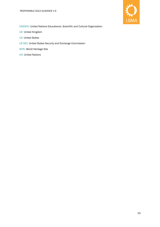

UNESCO: United Nations Educational, Scientific and Cultural Organization

- UK: United Kingdom
- US: United States
- US SEC: United States Security and Exchange Commission
- WHS: World Heritage Site
- UN: United Nations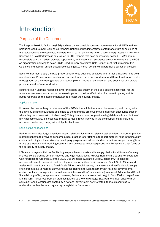

# <span id="page-10-0"></span>Introduction

# <span id="page-10-1"></span>Purpose of the Document

The Responsible Gold Guidance (RGG) outlines the responsible sourcing requirements for all LBMA refiners producing Good Delivery Gold bars (Refiners). Refiners must demonstrate conformance with all sections of this Guidance and the associated Refiners Toolkit to remain on the LBMA Good Delivery List (GDL). An LBMA Responsible Gold Certificate is only issued to GDL Refiners that have successfully passed LBMA's annual responsible sourcing review process, supported by an independent assurance on conformance with the RGG. An organisation applying to be an LBMA Good Delivery accredited Gold Refiner must first implement this Guidance and pass an annual assurance covering a 12-month period to support their application process.

Each Refiner must apply the RGG proportionally to its business activities and to those involved in its gold supply chains. Proportionate application does not mean different standards for different institutions – it is a recognition of the differing levels of size, complexity, nature of engagement and sophistication of gold producers and refiners worldwide.

Refiners retain ultimate responsibility for the scope and quality of their due diligence activities, for the actions taken to respond to actual adverse impacts or the identified risks of adverse impacts, and for public reporting on the steps undertaken to protect their supply chains.

#### Applicable Laws

However, the overarching requirement of the RGG is that all Refiners must be aware of, and comply with, the laws, rules and regulations applicable to them and the precious metals market in each jurisdiction in which they do business (Applicable Laws). This guidance does not provide a legal defence to a violation of any Applicable Laws. It is expected that all parties directly involved in the gold supply chain, including upstream producers, comply with all Applicable Laws.

#### Long-lasting relationships

Refiners should also forge close long-lasting relationships with all relevant stakeholders, in order to provide material benefits to everyone concerned. Best practice is for Refiners to report material risks in their supply chains and mitigate these risks by developing programmes where short-term actions support a long-term future by attracting and retaining upstream and downstream counterparties, and by having a clear focus on the durability of supply chains.

LBMA encourages initiatives facilitating responsible and sustainable supply chains for all forms of mining in areas considered as Conflict-Affected and High-Risk Areas (CAHRAs). Refiners are strongly encouraged, with reference to Appendix 1 of the OECD Due Diligence Guidance Gold Supplement,<sup>[6](#page-10-2)</sup> to consider measures to create economic and development opportunities for Artisanal and Small-Scale Miners and assist legitimate Artisanal and Small-Scale Miners to build secure, transparent and verifiable gold supply chains from mine to market. LBMA encourages Refiners to work together with national governments, central banks, donor agencies, industry associations and large-scale mining to support Artisanal and Small-Scale Mining (ASM), as appropriate. However, Refiners must ensure that no gold from ASM or Large-Scale Mining (LSM) is sourced from an area designated as a World Heritage Site. Refiners must ensure when sourcing from a location designated by a national government as 'Protected' that such sourcing is undertaken within the local regulatory or legislative framework.

<span id="page-10-2"></span><sup>6</sup> OECD Due Diligence Guidance for Responsible Supply Chains of Minerals from Conflict-Affected and High-Risk Areas, April 2016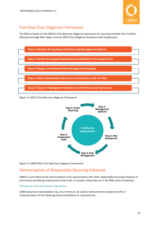

# <span id="page-11-0"></span>Five-Step Due Diligence Framework

The RGG is based on the OECD's Five-Step due diligence framework for sourcing minerals from Conflict-Affected and High-Risk Areas, and the OECD Due Diligence Guidance Gold Supplement.



*Figure 3: OECD Five-Step due diligence Framework*



*Figure 4: LBMA RGG Five-Step Due Diligence Framework*

# <span id="page-11-1"></span>Harmonisation of Responsible Sourcing Initiatives

LBMA is committed to the harmonisation of its requirements with other responsible sourcing initiatives or anti-money laundering requirements that meet, or exceed, those laid out in the RGG (other initiatives).

#### Compliance with international regulations

LBMA assurance deliverables may, at a minimum, be used to demonstrate compliance with or implementation of the following recommendations or requirements: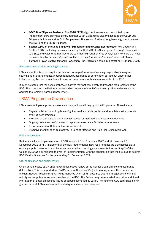

- OECD Due Diligence Guidance: The 2018 OECD alignment assessment conducted by an independent third party has concluded that LBMA Guidance is closely aligned to the OECD Due Diligence Guidance and its Gold Supplement. This version further strengthens alignment between the RGG and the OECD Guidance.
- Section 1502 of the Dodd-Frank Wall Street Reform and Consumer Protection Act: Dodd-Frank Section 1502, including any rules issued by the United States Security and Exchange Commission (US SEC), indicates that manufacturers can meet US requirements by relying on Refiners that have been certified by "industry groups' 'conflict-free' designation programmes" such as LBMA's.
- European Union Conflict Minerals Regulation: The Regulation came into effect on 1 January 2021.

#### Recognised responsible sourcing initiatives

LBMA's intention is to not require duplication nor re-performance of existing responsible mining and sourcing audit arrangements. Independent audit, assurance or certification carried out under other initiatives may be used as evidence to assess conformance with relevant aspects of the RGG.

It must be noted that the scope of these initiatives may not completely address the requirements of the RGG. The onus is on the Refiner to assess which aspects of the RGG are met by other initiatives and to address the remaining areas appropriately.

### <span id="page-12-0"></span>LBMA Programme Governance

LBMA uses multiple approaches to ensure the quality and integrity of the Programme. These include:

- Regular publication and updates of guidance documents, toolkits and templates to incorporate evolving best practices.
- Provision of training and additional resources for members and Assurance Providers.
- Ongoing review and enforcement of approved Assurance Provider requirements.
- In-house review of Refiners' Assurance Reports.
- Proactive monitoring of gold activity in Conflict-Affected and High-Risk Areas (CAHRAs).

#### RGG effective date

Refiners shall start implementation of RGG Version 9 from 1 January 2022 and will have until 31 December 2022 to fully implement all the new requirements. New requirements are also applicable to existing supply chains and must be implemented when due diligence is revisited as per Step 2 of the Guidance. 2022 is considered the year of implementation, with the expectation that the first audits against RGG Version 9 are due for the year ending 31 December 2022.

#### GDL certification and quality review

On an annual basis, LBMA undertakes a risk-based review of the Refiner's compliance and assurance deliverables. This is supported by LBMA's internal Country of Origin data analysis and the continuous Incident Review Process (IRP). An IRP is launched when LBMA becomes aware of allegations of criminal activity and/or potential serious breaches of the RGG. The Refiner may be requested to provide additional information or detail on specific issues or aspects identified by LBMA. The Refiner's GDL certificate is only granted once all LBMA reviews and related queries have been resolved.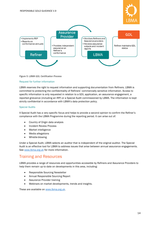

#### *Figure 5: LBMA GDL Certification Process*

#### Request for further information

LBMA reserves the right to request information and supporting documentation from Refiners. LBMA is committed to protecting the confidentiality of Refiners' commercially sensitive information. Access to specific information is only requested in relation to a GDL application, an assurance engagement, a reported grievance (including an IRP) or a Special Audit commissioned by LBMA. The information is kept strictly confidential in accordance with LBMA's data protection policy.

#### Special Audits

A Special Audit has a very specific focus and helps to provide a second opinion to confirm the Refiner's compliance with the LBMA Programme during the reporting period. It can arise out of:

- Country of Origin data analysis
- Incident Review Process
- Market intelligence
- Media allegations
- Whistle-blowing.

Under a Special Audit, LBMA selects an auditor that is independent of the original auditor. The Special Audit is an effective tool for LBMA to address issues that arise between annual assurance engagements. See [www.lbma.org.uk](http://www.lbma.org.uk/) for more information.

### <span id="page-13-0"></span>Training and Resources

LBMA provides a range of resources and opportunities accessible by Refiners and Assurance Providers to help them remain up to date on developments in this area, including:

- Responsible Sourcing Newsletter
- Annual Responsible Sourcing Report
- Assurance Provider training
- Webinars on market developments, trends and insights.

These are available on [www.lbma.org.uk.](http://www.lbma.org.uk/)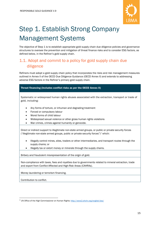

# <span id="page-14-0"></span>Step 1. Establish Strong Company Management Systems

The objective of Step 1 is to establish appropriate gold supply chain due diligence policies and governance structures to oversee the prevention and mitigation of threat finance risks and to consider ESG factors, as defined below, in the Refiner's gold supply chain.

# <span id="page-14-1"></span>1.1. Adopt and commit to a policy for gold supply chain due diligence

Refiners must adopt a gold supply chain policy that incorporates the risks and risk management measures outlined in Annex II of the OECD Due Diligence Guidance (OECD Annex II) and extends to addressing adverse ESG factors in the Refiner's primary gold supply chain.

#### Threat financing (includes conflict risks as per the OECD Annex II)

Systematic or widespread human rights abuses associated with the extraction, transport or trade of gold, including:

- Any forms of torture, or inhuman and degrading treatment
- Forced or compulsory labour
- Worst forms of child labour
- Widespread sexual violence or other gross human rights violations
- War crimes, crimes against humanity or genocide.

Direct or indirect support to illegitimate non-state armed groups, or public or private security forces ("illegitimate non-state armed groups, public or private security forces")<sup>[7](#page-14-2)</sup> which:

- Illegally control mines, sites, traders or other intermediaries, and transport routes through the supply chains; or
- Illegally tax or extort money or minerals through the supply chains.

Bribery and fraudulent misrepresentation of the origin of gold.

Non-compliance with taxes, fees and royalties due to governments related to mineral extraction, trade and export from Conflict-Affected and High-Risk Areas (CAHRAs).

Money laundering or terrorism financing.

Contribution to conflict.

<span id="page-14-2"></span><sup>7</sup> UN Office of the High Commissioner on Human Rights[: http://www2.ohchr.org/english/law/](http://www2.ohchr.org/english/law/)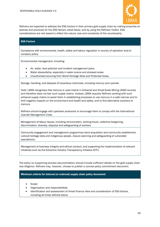

Refiners are expected to address the ESG factors in their primary gold supply chain by making enquiries on policies and practices for the ESG factors noted below, and by using the Refiners Toolkit. ESG considerations are risk based to reflect the nature, size and complexity of the counterparty.

#### ESG Factors

Compliance with environmental, health, safety and labour regulation in country of operation and/or company policy.

Environmental management, including:

- Air, water, land pollution and incident management plans
- Water stewardship, especially in water scarce and stressed areas
- Unauthorised sourcing from World Heritage Sites and Protected Areas.

Storage, handling, and disposal of hazardous chemicals, including mercury and cyanide.

*Note: LBMA recognises that mercury is used mainly in Artisanal and Small-Scale Mining (ASM) sources and therefore does not ban such supply chains. Instead, LBMA requires Refiners working with such artisanal supply chains to assist them in establishing processes to use mercury in a safe manner and to limit negative impacts on the environment and health and safety, and to find alternative solutions to mercury.*

*Refiners should engage with upstream producers to encourage them to comply with the International Cyanide Management Code.*

Management of labour issues, including remuneration, working hours, collective bargaining, discrimination, diversity, disputes and safeguarding of workers.

Community engagement and management programmes (land acquisition and community resettlement, cultural heritage sites and indigenous people, closure planning and safeguarding of vulnerable populations).

Management of business integrity and ethical conduct, and supporting the implementation of relevant initiatives such as the Extractive Industry Transparency Initiative (EITI).

The policy (or supporting process documentation) should include sufficient details on the gold supply chain due diligence. Refiners may, however, choose to publish a concise policy commitment document.

#### Minimum criteria for internal (or external) supply chain policy document:

- **Scope**
- Organisation and responsibilities
- Identification and assessment of threat finance risks and consideration of ESG factors, including all those defined above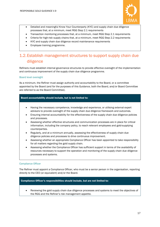

- Detailed and meaningful Know Your Counterparty (KYC) and supply chain due diligence processes that, at a minimum, meet RGG Step 2.1 requirements
- Transaction monitoring processes that, at a minimum, meet RGG Step 2.1 requirements
- Criteria for high-risk supply chains that, at a minimum, meet RGG Step 2.2 requirements
- KYC and supply chain due diligence record maintenance requirements
- Employee training programme.

# <span id="page-16-0"></span>1.2.Establish management structures to support supply chain due diligence

Refiners must establish internal governance structures to provide effective oversight of the implementation and continuous improvement of the supply chain due diligence programme.

#### Board level oversight

As a minimum, the Refiner must assign authority and accountability to the Board, or a committee appointed by the Board (and for the purposes of this Guidance, both the Board, and/or Board Committee are referred to as the Board Committee).

#### Board accountability should include, but is not limited to:

- Having the necessary competence, knowledge and experience, or utilising external expert advisors to provide oversight of the supply chain due diligence framework and outcomes.
- Ensuring internal accountability for the effectiveness of the supply chain due diligence policies and processes.
- Assessing whether effective structures and communication processes are in place for critical information, including the company policy, to reach relevant employees and gold-supplying counterparties.
- Regularly, and at a minimum annually, assessing the effectiveness of supply chain due diligence policies and processes to drive continuous improvement.
- Assessing whether an appropriate Compliance Officer has been appointed to take responsibility for all matters regarding the gold supply chain.
- Assessing whether the Compliance Officer has sufficient support in terms of the availability of resources necessary to support the operation and monitoring of the supply chain due diligence processes and systems.

#### Compliance Officer

The Refiner must appoint a Compliance Officer, who must be a senior person in the organisation, reporting directly to the CEO (or equivalent) and/or the Board.

#### Compliance Officer's responsibilities should include, but are not limited to:

• Reviewing the gold supply chain due diligence processes and systems to meet the objectives of the RGG and the Refiner's risk management appetite.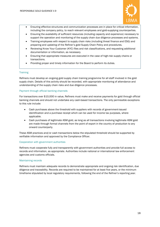

- Ensuring effective structures and communication processes are in place for critical information, including the company policy, to reach relevant employees and gold-supplying counterparties.
- Ensuring the availability of sufficient resources (including capacity and experience) necessary to support the operation and monitoring of the supply chain due diligence processes and systems.
- Training employees with respect to supply chain risks (including threat finance and ESG) and preparing and updating of the Refiner's gold Supply Chain Policy and procedures.
- Reviewing Know Your Customer (KYC) files and risk classifications, and requesting additional documentation or information, as necessary.
- Ensuring that appropriate measures are executed in the case of high-risk supply chains or transactions.
- Providing proper and timely information for the Board to perform its duties.

#### **Training**

Refiners must develop an ongoing gold supply chain training programme for all staff involved in the gold supply chain. Details of this activity should be recorded, with appropriate monitoring of attendance and understanding of the supply chain risks and due diligence processes.

#### Payment through official banking channels

For transactions over \$10,000 in value, Refiners must make and receive payments for gold through official banking channels and should not undertake any cash-based transactions. The only permissible exceptions to this rule include:

- Cash purchases above the threshold with suppliers with records of government-issued identification and a purchase receipt which can be used for income tax purposes, where applicable.
- Cash purchases of legitimate ASM gold, as long as all transactions involving legitimate ASM gold are made through formal channels from the point of export in the country of production to any onward counterparty.

These ASM practices and/or cash transactions below the stipulated threshold should be supported by verifiable information and approved by the Compliance Officer.

#### Cooperation with government authorities

Refiners must cooperate fully and transparently with government authorities and provide full access to records and information, as appropriate. Authorities include national or international law enforcement agencies and customs officials.

#### Maintaining records

Refiners must maintain adequate records to demonstrate appropriate and ongoing risk identification, due diligence and traceability. Records are required to be maintained for at least five years, or the minimum timeframe stipulated by local regulatory requirements, following the end of the Refiner's reporting year.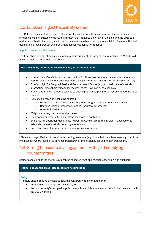

# <span id="page-18-0"></span>1.3 Establish a gold traceability system

The Refiner must establish a system of controls for visibility and transparency over the supply chain. This includes a chain of custody or traceability system that identifies the origin of the gold and the upstream partners involved in the supply chain, and a mechanism to trace the input of each lot refined and the first destination of each product shipment. Material segregation is not required.

#### Supply chain traceability system

The traceability system should collect and maintain supply chain information for each lot of Mined Gold, Recycled Gold or other feedstock refined.

#### The traceability information should include, but is not limited to:

- Proof of mining origin for primary product (e.g., official government-issued certificate of origin, audited chain of custody documentation, blockchain traceability records, formal packing list).
- Proof of origin for Recycled Gold and Grandfathered Stocks (e.g., audited chain of custody information, blockchain traceability records, formal invoices or packing lists).
- A unique reference number assigned to each input and output in order for any tampering to be evident.
- Type of gold received (including source):
	- o Mined Gold: LSM, ASM, Mining By-product or gold sourced from owned mines.
	- o Recycled Gold: unprocessed, melted, Industrial By-product.
	- o Grandfathered Stocks.
- Weight and assay: declared and processed.
- Export and import form for high-risk transactions, if applicable.
- Shipping/transportation documents (waybill/airway bill, pro forma invoice, if applicable) to establish chain of custody from origin to refinery.
- Date of arrival at the refinery and date of assay finalisation.

LBMA encourages Refiners to consider technology solutions (e.g., blockchain, machine learning or artificial intelligence), where feasible, to enhance transparency and efficiency in supply chain traceability.

# <span id="page-18-1"></span>1.4 Strengthen company engagement with gold-supplying counterparties

Refiners should build long-term relationships based on trust and mutual recognition with suppliers.

#### Refiner's responsibilities include, but are not limited to:

#### **Policy**

Refiners should require the gold-supplying counterparty to commit to either:

- the Refiner's gold Supply Chain Policy; or
- the counterparty's own gold supply chain policy, which at a minimum should be consistent with the OECD Annex II.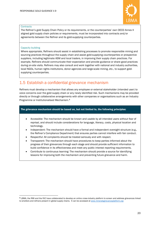

#### **Contracts**

The Refiner's gold Supply Chain Policy or its requirements, or the counterparties' own OECD Annex II aligned gold supply chain policies or requirements, must be incorporated into contracts and/or agreements between the Refiner and its gold-supplying counterparties.

#### Capacity building

Where appropriate, Refiners should assist in establishing processes to promote responsible mining and sourcing practices throughout the supply chain and assist gold-supplying counterparties or prospective suppliers, including legitimate ASM and local traders, in improving their supply chain practices. For example, Refiners should communicate their expectation and provide guidance or share good practices during on-site visits. Refiners may also consult and work together with national and industry authorities, local NGOs, human rights institutions, donor agencies and large-scale mining, etc., to support goldsupplying counterparties.

# <span id="page-19-0"></span>1.5 Establish a confidential grievance mechanism

Refiners must develop a mechanism that allows any employee or external stakeholder (intended user) to voice concerns over the gold supply chain or any newly identified risk. Such mechanisms may be provided directly or through collaborative arrangements with other companies or organisations such as an Industry Programme or Institutionalised Mechanism.[8](#page-19-1)

#### The grievance mechanism should be based on, but not limited to, the following principles:

- Accessible: The mechanism should be known and usable by all intended users without fear of reprisal, and should include considerations for language, literacy, costs, physical location and technology.
- Independent: The mechanism should have a formal and independent oversight structure (e.g., the Refiner's Compliance Department) that ensures parties cannot interfere with fair conduct.
- Respectful: All complaints should be treated seriously and with respect.
- Transparent: The mechanism should have procedures to keep parties informed about the progress of their grievances through each stage and should provide sufficient information to build confidence in its effectiveness and meet any public interest reporting requirements.
- Contribute to continuous learning: The mechanism should provide a source for identifying lessons for improving both the mechanism and preventing future grievance and harm.

<span id="page-19-1"></span><sup>8</sup> LBMA, the RMI and the RJC have collaborated to develop an online cross-industry platform to screen and address grievances linked to smelters and refiners present in global supply chains. It can be accessed a[t www.mineralsgrievanceplatform.org](https://mineralsgrievanceplatform.org/)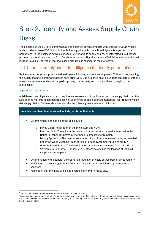

# <span id="page-20-0"></span>Step 2. Identify and Assess Supply Chain Risks

The objective of Step 2 is to identify actual and potential adverse impacts with respect to OECD Annex II and consider adverse ESG factors in the Refiner's gold supply chain. Due diligence is expected to be proportional to the business activities of each Refiner and its supply chains. An integrated due diligence process that considers sourcing from Conflict-Affected and High-Risk Areas (CAHRAs) as well as additional location-, supplier- or type of material-based high risks is considered most effective.

# <span id="page-20-1"></span>2.1 Conduct supply chain due diligence to identify potential risks

Refiners must perform supply chain due diligence following a risk-based approach. This includes mapping the supply chain to identify and assess risks effectively. Due diligence must be undertaken before entering a new business relationship with a gold-supplying counterparty and must continue throughout the relationship.

#### Supply chain due diligence

A risk-based due diligence approach requires an assessment of the location and the supply chain that the gold-bearing material is sourced from as well as the type of gold-bearing material sourced. To identify highrisk supply chains, Refiners should undertake the following measures as a minimum.

#### Location risk identification should include, but is not limited to:

- Determination of the origin of the gold source:
	- o Mined Gold: The location of the mine (LSM and ASM).
	- $\circ$  Recycled Gold: The point in the gold supply chain where the gold is returned to the Refiner or other downstream intermediate processor or recycler.
	- $\circ$  Mining By-product: The point of separation of gold from the mineral base, as provided under the World Customs Organization's Revised Kyoto Convention Annex K.[9](#page-20-2)
	- o Grandfathered Stocks: The determination of origin is not required for stocks with a Verifiable Date prior to 1 January 2012, otherwise origin is the location of the goldsupplying counterparty.
- Determination of the general transportation routing of the gold source from origin to refinery.
- Verification that sourcing from the Country of Origin is not in breach of any international sanctions.
- Verification that the mine site is not located in a World Heritage Site.

<span id="page-20-2"></span><sup>9</sup> World Customs Organization's Revised Kyoto Convention Annex K. E3. / F1.:

<sup>&</sup>quot;… substantial transformation criterion" means the criterion according to which origin is determined by regarding as the country of origin the country in which the last substantial manufacturing or processing, deemed sufficient to give the commodity its essential character, has been carried out."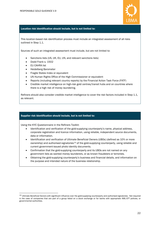

#### Location risk identification should include, but is not limited to:

This location-based risk identification process must include an integrated assessment of all risks outlined in Step 1.1.

Sources of such an integrated assessment must include, but are not limited to:

- Sanctions lists (US, UK, EU, UN, and relevant sanctions lists)
- Dodd Frank s. 1502
- **EU CAHRA list**
- Heidelberg Barometer
- Fragile States Index or equivalent
- UN Human Rights Office of the High Commissioner or equivalent
- Reports (including relevant country reports) by the Financial Action Task Force (FATF)
- Credible market intelligence on high-risk gold centres/transit hubs and on countries where there is a high risk of money laundering.

Refiners should also consider credible market intelligence to cover the risk factors included in Step 1.1, as relevant.

#### Supplier risk identification should include, but is not limited to:

Using the KYC Questionnaire in the Refiners Toolkit:

- Identification and verification of the gold-supplying counterparty's name, physical address, corporate registration and licence information, using reliable, independent source documents, data or information.
- Identification and verification of Ultimate Beneficial Owners (UBOs) (defined as 10% or more ownership) and authorised signatories<sup>[10](#page-21-0)</sup> of the gold-supplying counterparty, using reliable and current government-issued photo identity documents.
- Confirmation that the gold-supplying counterparty and its UBOs are not named on any government lists as wanted money launderers, or as known fraudsters or terrorists.
- Obtaining the gold-supplying counterparty's business and financial details, and information on the purpose and intended nature of the business relationship.

<span id="page-21-0"></span><sup>&</sup>lt;sup>10</sup> Ultimate Beneficial Owners with significant influence over the gold-supplying counterparty and authorised signatories. Not required in the case of companies that are part of a group listed on a stock exchange or for banks with appropriate AML-CFT policies, or governmental authorities.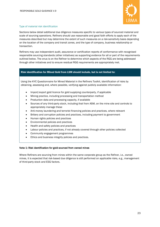

#### Type of material risk identification

Sections below detail additional due diligence measures specific to various types of sourced material and scale of sourcing operations. Refiners should use reasonable and good faith efforts to apply each of the measures described but may determine the extent of such measures on a risk-sensitivity basis depending on the location of the company and transit zones, and the type of company, business relationship or transaction.

Refiners may use independent audit, assurance or certification reports of conformance with recognised responsible sourcing standards (other initiatives) as supporting evidence for all or part of the requirements outlined below. The onus is on the Refiner to determine which aspects of the RGG are being addressed through other initiatives and to ensure residual RGG requirements are appropriately met.

#### Risk identification for Mined Gold from LSM should include, but is not limited to:

Using the KYC Questionnaire for Mined Material in the Refiners Toolkit, identification of risks by obtaining, assessing and, where possible, verifying against publicly available information:

- Import/export gold licence for gold supplying counterparty, if applicable
- Mining practice, including processing and transportation method
- Production data and processing capacity, if available
- Sources of any third-party stock, including that from ASM, on the mine site and controls to appropriately manage these
- Anti-money laundering and terrorist financing policies and practices, where relevant
- Bribery and corruption policies and practices, including payment to government
- Human rights policies and practices
- Environmental policies and practices
- Health and safety policies and practices
- Labour policies and practices, if not already covered through other policies collected
- Community engagement programmes
- Ethics and business integrity policies and practices.

#### Note 1: Risk identification for gold sourced from owned mines

Where Refiners are sourcing from mines within the same corporate group as the Refiner, i.e., owned mines, it is expected that risk-based due diligence is still performed on applicable risks, e.g., management of third-party stock and ESG factors.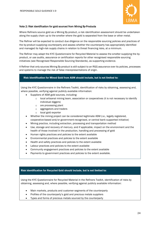

#### Note 2: Risk identification for gold sourced from Mining By-Products

Where Refiners source gold as a Mining By-product, a risk identification assessment should be undertaken along the supply chain up to the smelter where the gold is separated from the base or other metal.

The Refiner will be expected to conduct due diligence on the responsible sourcing policies and practices of the by-product supplying counterparty and assess whether the counterparty has appropriately identified and managed its high-risk supply chains in relation to threat financing risks, at a minimum.

The Refiner may adapt the KYC Questionnaire for Recycled Material to assess the smelter supplying the byproduct, or use audits, assurance or certification reports for other recognised responsible sourcing initiatives (see Recognised Responsible Sourcing Standards), as supporting evidence.

A Refiner that only sources Mining By-product is still subject to an RGG assurance over its policies, processes and systems to manage the risk of false misrepresentations of origin.

#### Risk identification for Mined Gold from ASM should include, but is not limited to:

Using the KYC Questionnaire in the Refiners Toolkit, identification of risks by obtaining, assessing and, where possible, verifying against publicly available information:

- Suppliers of ASM gold sources, including:
	- $\circ$  local artisanal mining team, association or cooperatives (it is not necessary to identify individual diggers)
	- o ore processing plant
	- o aggregators and traders
	- o local gold exporter
- Whether the mining project can be considered legitimate ASM (i.e., legally registered, cooperative-based and/or government-recognised, or central bank supported initiative)
- Mining practice, including extraction, processing and transportation method
- Use, storage and recovery of mercury, and if applicable, impact on the environment and the health of those involved in the production, handling and processing of gold
- Human rights practices and policies to the extent available
- Environmental practices and policies to the extent available
- Health and safety practices and policies to the extent available
- Labour practices and policies to the extent available
- Community engagement practices and policies to the extent available
- Payments to government practices and policies to the extent available.

#### Risk identification for Recycled Gold should include, but is not limited to:

Using the KYC Questionnaire for Recycled Material in the Refiners Toolkit, identification of risks by obtaining, assessing and, where possible, verifying against publicly available information:

- Main markets, products and customer segments of the counterparty
- Profiles of the counterparty's gold and precious metals suppliers
- Types and forms of precious metals sourced by the counterparty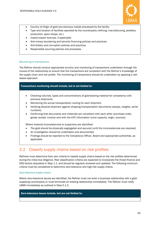

- Country of Origin of gold and precious metals processed by the facility
- Type and location of facilities operated by the counterparty (refining, manufacturing, jewellery production, pawn shops, etc.)
- Import/export licences, if applicable
- Anti-money laundering and terrorist financing policies and practices
- Anti-bribery and corruption policies and practices
- Responsible sourcing policies and processes .

#### Monitoring of transactions

The Refiner should conduct appropriate scrutiny and monitoring of transactions undertaken through the course of the relationship to ensure that the transactions are consistent with the Refiner's knowledge of the supply chain and risk profile. The monitoring of transactions should be undertaken by applying a riskbased approach.

#### Transactions monitoring should include, but is not limited to:

- Checking volumes, types and concentrations of gold-bearing material for consistency with previous shipments
- Monitoring the actual transportation routing for each shipment
- Verifying physical shipment against shipping/transportation documents (assays, weights, serial numbers)
- Confirming that documents and materials are consistent with each other (purchase order, goods receipt, invoice) and with the KYC information (mine capacity, origin, sources).

Where material inconsistencies or suspicions are identified:

- The gold should be physically segregated and secured (until the inconsistencies are resolved)
- An investigation should be undertaken and documented
- Findings should be reported to the Compliance Officer, Board and appropriate authorities, as applicable.

# <span id="page-24-0"></span>2.2 Classify supply chains based on risk profiles

Refiners must determine their own criteria to classify supply chains based on the risk profiles determined during the initial due diligence. Risk classification criteria are expected to incorporate the threat finance and ESG factors stipulated in Step 1.1, and should be regularly reviewed and updated. The following minimum criteria must be considered to determine zero-tolerance and high-risk supply chains.

#### Zero-tolerance supply chains

Where zero-tolerance issues are identified, the Refiner must not enter a business relationship with a goldsupplying counterparty or must terminate an existing relationship immediately. The Refiner must notify LBMA immediately as outlined in Step 5.1.3.

#### Zero-tolerance issues include, but are not limited to: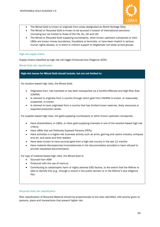

- The Mined Gold is known to originate from areas designated as World Heritage Sites
- The Mined or Recycled Gold is known to be sourced in breach of international sanctions (including but not limited to those of the UN, EU, UK and US)
- The Mined or Recycled Gold supplying counterparty, other known upstream companies or their UBOs are known money launderers, fraudsters or terrorists, or have been implicit in serious human rights abuses, or in direct or indirect support to illegitimate non-state armed groups.

#### High-risk supply chains

Supply chains classified as high risk will trigger Enhanced Due Diligence (EDD).

Mined Gold risk classification

#### High-risk issues for Mined Gold should include, but are not limited to:

For location-based high risks, the Mined Gold:

- Originates from, has transited or has been transported via a Conflict-Affected and High-Risk Area (CAHRA)
- Is claimed to originate from a country through which gold from CAHRAs is known, or reasonably suspected, to transit
- Is claimed to have originated from a country that has limited known reserves, likely resources or expected production levels.

For supplier-based high risks, the gold-supplying counterparty or other known upstream companies:

- Have shareholders, or UBOs, or other gold supplying interests in one of the location-based high-risk criteria
- Have UBOs that are Politically Exposed Persons (PEPs)
- Have activities in a higher-risk business activity such as arms, gaming and casino industry, antiques and art, and sects and their leaders
- Have been known to have sourced gold from a high-risk country in the last 12 months
- Have material discrepancies/inconsistencies in the documentation provided or have refused to provide requested documentation.

For type of material-based high risks, the Mined Gold is:

- Sourced from ASM
- Produced with the use of mercury
- Contributing to catastrophic harm or highly adverse ESG factors, to the extent that the Refiner is able to identify this (e.g., through a record in the public domain or in the Refiner's due diligence file).

#### Recycled Gold risk classification

Risk classification of Recycled Material should be proportionate to the risks identified, with priority given to persons, place and transactions that present higher risk.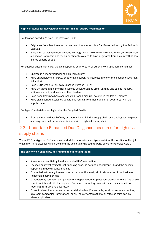

#### High-risk issues for Recycled Gold should include, but are not limited to:

For location-based high risks, the Recycled Gold:

- Originates from, has transited or has been transported via a CAHRA as defined by the Refiner in Step 2.1
- Is claimed to originate from a country through which gold from CAHRAs is known, or reasonably suspected, to transit, and/or is unjustifiably claimed to have originated from a country that has limited exports of gold.

For supplier-based high risks, the gold-supplying counterparty or other known upstream companies:

- Operate in a money laundering high-risk country
- Have shareholders, or UBOs, or other gold-supplying interests in one of the location-based highrisk criteria
- Have UBOs who are Politically Exposed Persons (PEPs)
- Have activities in a higher-risk business activity such as arms, gaming and casino industry, antiques and art, and sects and their leaders
- Have been known to have sourced gold from a high-risk country in the last 12 months
- Have significant unexplained geographic routing from their supplier or counterparty in the supply chain.

For type of material-based high risks, the Recycled Gold is:

• From an Intermediate Refinery or trader with a high-risk supply chain or a trading counterparty sourcing from an Intermediate Refinery with a high-risk supply chain.

# <span id="page-26-0"></span>2.3 Undertake Enhanced Due Diligence measures for high-risk supply chains

Where EDD is triggered, Refiners must undertake an on-site investigation/visit at the location of the gold origin (i.e., mine sites for Mined Gold and the gold-supplying counterparty office for Recycled Gold).

#### The on-site visit should be, at a minimum, but not limited to:

- Aimed at substantiating the documented KYC information
- Focused on investigating threat financing risks, as defined under Step 1.1, and the specific supply chain due diligence findings
- Conducted before any transactions occur or, at the least, within six months of the business relationship commencing
- Conducted by competent employees or independent third-party consultants, who are free of any conflict of interest with the supplier. Everyone conducting an on-site visit must commit to reporting truthfully and accurately
- Consult relevant internal and external stakeholders (for example, local or central authorities, upstream companies, international or civil society organisations, or affected third parties), where applicable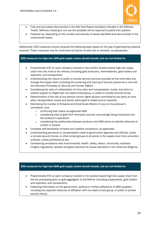

- Fully and accurately documented in the Site Visit Report templates included in the Refiners Toolkit. Refiners choosing to not use the template will be required to justify their position
- Followed up, depending on the number and severity of issues identified and documented in the improvement plans.

Additionally, EDD measures should comprise the following steps based on the type of gold-bearing material received. These measures may be conducted during the on-site visit or remotely, as appropriate.

#### EDD measures for high-risk LSM gold supply chains should include, but are not limited to:

- Proportionate KYC on each company involved in the conflict location-based high-risk supply chain from the mine to the refinery (including gold producers, intermediaries, gold traders and exporters, and transporters).
- Understanding the nature of public or private security services provided at the mine sites and through the supply chain (including the screening and training of security personnel in line with the Voluntary Principles on Security and Human Rights).
- Considering the risks of militarisation of mine sites and transportation routes, and direct or indirect support to illegitimate non-state armed group, or public or private security forces.
- Determination of the risk of any serious human rights abuses committed by any party at mine sites, transportation routes and points where gold is traded and/or exported.
- Estimating the number of Artisanal and Small-Scale Miners (if any) on the producer's concession, and:
	- o confirming their status as legitimate ASM
	- o considering risks of gold from third-party sources unknowingly being introduced into the producer's operations
	- o considering the relationship between producer and ASM actors to identify instances of conflict or tension.
- Complete self-declaration of taxes and royalties compliance, as applicable.
- Understanding payments or compensation made to government agencies and officials, public or private security forces, or other armed groups at all points in the supply chain from extraction onwards, unless prohibited by law.
- Considering compliance with environmental, health, safety, labour, community, business integrity regulations, policies and good practices for issues identified in the initial due diligence.

#### EDD measures for high-risk ASM gold supply chains should include, but are not limited to:

- Proportionate KYC on each company involved in the location-based high-risk supply chain from the ore processing plant or gold aggregator to the Refiner (including cooperatives, gold traders and exporters, and transporters).
- Collecting information on the government, political or military affiliations of ASM suppliers, including any reported instances of affiliation with non-state armed group, or public or private security forces.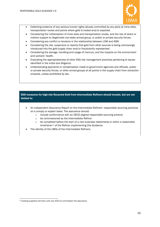

- Collecting evidence of any serious human rights abuses committed by any party at mine sites, transportation routes and points where gold is traded and/or exported.
- Considering the militarisation of mine sites and transportation routes, and the risk of direct or indirect support to illegitimate non-state armed group, or public or private security forces.
- Considering any conflict or tensions in the relationship between LSM and ASM.
- Considering the risk, suspicions or reports that gold from other sources is being unknowingly introduced into the gold supply chain and/or fraudulently represented.
- Considering the storage, handling and usage of mercury, and the impacts on the environment and workers' health.
- Evaluating the appropriateness of other ESG risk management practices pertaining to issues identified in the initial due diligence.
- Understanding payments or compensation made to government agencies and officials, public or private security forces, or other armed groups at all points in the supply chain from extraction onwards, unless prohibited by law.

#### EDD measures for high-risk Recycled Gold from Intermediate Refiners should include, but are not limited to:

- An independent Assurance Report on the Intermediate Refiners' responsible sourcing practices on a comply or explain basis. The assurance should:
	- o include conformance with an OECD aligned responsible sourcing scheme
	- o be commissioned by the Intermediate Refiner
	- $\circ$  be completed before the start of a new business relationship or within a reasonable timeframe<sup>[11](#page-28-0)</sup> of the Refiner implementing this Guidance
- The identity of the UBOs of the Intermediate Refiners.

<span id="page-28-0"></span><sup>&</sup>lt;sup>11</sup> Existing suppliers will have until July 2023 to commission the assurance.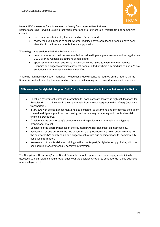

#### Note 3: EDD measures for gold sourced indirectly from Intermediate Refiners

Refiners sourcing Recycled Gold indirectly from Intermediate Refiners (e.g., through trading companies) should:

- use best efforts to identify the Intermediate Refiners; and
- review the due diligence to check whether red flags have, or reasonably should have been, identified in the Intermediate Refiners' supply chains.

Where high risks are identified, the Refiner should:

- determine whether the Intermediate Refiner's due diligence processes are audited against an OECD aligned responsible sourcing scheme; and
- apply risk management strategies in accordance with Step 3, where the Intermediate Refiner's due diligence practices have not been audited or where any medium-risk or high-risk audit non-conformances have been identified.

Where no high risks have been identified, no additional due diligence is required on the material. If the Refiner is unable to identify the Intermediate Refiners, risk management procedures should be applied.

#### EDD measures for high-risk Recycled Gold from other sources should include, but are not limited to:

- Checking government watchlist information for each company located in high-risk locations for Recycled Gold and involved in the supply chain from the counterparty to the refinery (including transporters).
- Interviews with select management and site personnel to determine and corroborate the supply chain due diligence practices, purchasing, and anti-money laundering and counter-terrorist financing procedures.
- Considering the counterparty's competence and capacity for supply chain due diligence proportionate to risk.
- Considering the appropriateness of the counterparty's risk classification methodology.
- Assessment of due diligence records to confirm that procedures are being undertaken as per the counterparty's supply chain due diligence policy with due considerations for commercially sensitive information.
- Assessment of on-site visit methodology to the counterparty's high-risk supply chains, with due consideration for commercially sensitive information.

The Compliance Officer and/or the Board Committee should approve each new supply chain initially assessed as high-risk and should revisit each year the decision whether to continue with these business relationships or not.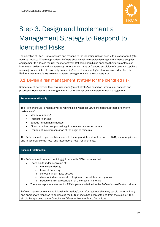

# <span id="page-30-0"></span>Step 3. Design and Implement a Management Strategy to Respond to Identified Risks

The objective of Step 3 is to evaluate and respond to the identified risks in Step 2 to prevent or mitigate adverse impacts. Where appropriate, Refiners should seek to exercise leverage and enhance supplier engagement to address the risk most effectively. Refiners should also enhance their own systems of information collection and transparency. Where known risks or founded suspicion of upstream suppliers sourcing from or linked to any party committing zero-tolerance or high-risk abuses are identified, the Refiner must immediately cease or suspend engagement with the counterparty.

# <span id="page-30-1"></span>3.1 Devise a risk management strategy for the identified risk

Refiners must determine their own risk management strategies based on internal risk appetite and processes. However, the following minimum criteria must be considered for risk management.

#### Terminate relationship

The Refiner should immediately stop refining gold where its EDD concludes that there are known instances of:

- Money laundering
- Terrorist financing
- Serious human rights abuses
- Direct or indirect support to illegitimate non-state armed groups
- Fraudulent misrepresentation of the origin of minerals.

The Refiner should report such instances to the appropriate authorities and to LBMA, where applicable, and in accordance with local and international legal requirements.

#### Suspend relationship

The Refiner should suspend refining gold where its EDD concludes that:

- There is a founded suspicion of:
	- o money laundering
	- o terrorist financing
	- o serious human rights abuses
	- o direct or indirect support to illegitimate non-state armed groups
	- fraudulent misrepresentation of the origin of minerals
- There are reported catastrophic ESG impacts as defined in the Refiner's classification criteria.

Refining may resume once additional information/data refuting the preliminary suspicions or a timely and appropriate response to addressing the ESG impacts has been obtained from the supplier. This should be approved by the Compliance Officer and/or the Board Committee.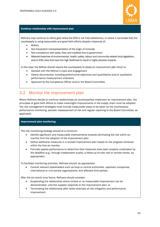

#### Continue relationship with improvement plan

Refiners may continue to refine gold where the EDD is not fully satisfactory, or where it concludes that the counterparty is using reasonable and good faith efforts despite instances of:

- **Bribery**
- Non-fraudulent misrepresentation of the origin of minerals
- Non-compliance with taxes, fees and royalties due to government
- Material breaches of environmental, health, safety, labour and community-related local legislation, and/or ESG risks that have the high likelihood to result in highly adverse impacts.

In this case, the Refiner should require the counterparty to adopt an improvement plan which is:

- Devised with the Refiner's input and engagement
- Clearly documented, including performance objectives and quantitative and/or qualitative performance measurement indicators
- Approved by the Compliance Officer and/or the Board Committee.

### <span id="page-31-0"></span>3.2 Monitor the improvement plan

Where Refiners decide to continue relationships as counterparties implement an improvement plan, the principles of good faith efforts to make meaningful improvements in the supply chain must be adopted. The risk management strategies must include measurable steps to be taken by the counterparty, performance monitoring, periodic reassessment of risk and regular reporting to the Board Committee, as applicable.

#### Improvement plan monitoring

The risk monitoring strategy should at a minimum:

- Identify significant and measurable improvements towards eliminating the risk within six months from the adoption of the improvement plan.
- Define additional measures in a revised improvement plan based on the progress achieved within the first six months.
- Formally assess performance to determine that measures have been properly undertaken by the deadline (e.g., through independent audits, a follow-up on-site visit or remote review, as appropriate).

To facilitate monitoring activities, Refiners should, as appropriate:

• Consult relevant stakeholders such as local or central authorities, upstream companies, international or civil society organisations, and affected third parties.

After the six-month time frame, Refiners should consider:

- Suspending the relationship where limited or no measurable improvement can be demonstrated, until the supplier responds to the improvement plan; or
- Terminating the relationship after failed attempts at risk mitigation and performance improvement.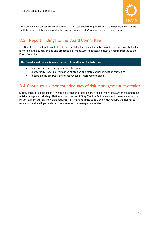

The Compliance Officer and/or the Board Committee should frequently revisit the decision to continue with business relationships under the risk mitigation strategy (i.e. annually, at a minimum).

# <span id="page-32-0"></span>3.3 Report findings to the Board Committee

The Board retains ultimate control and accountability for the gold supply chain. Actual and potential risks identified in the supply chains and proposed risk management strategies must be communicated to the Board Committee.

The Board should at a minimum receive information on the following:

- Relevant statistics on high-risk supply chains
- Counterparty under risk mitigation strategies and status of risk mitigation strategies
- Reports on the progress and effectiveness of improvement plans.

# <span id="page-32-1"></span>3.4 Continuously monitor adequacy of risk management strategies

Supply chain due diligence is a dynamic process and requires ongoing risk monitoring. After implementing a risk management strategy, Refiners should assess if Step 2 of this Guidance should be repeated or, for instance, if another on-site visit is required. Any changes in the supply chain may require the Refiner to repeat some due diligence steps to ensure effective management of risk.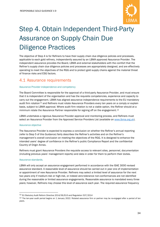

# <span id="page-33-0"></span>Step 4. Obtain Independent Third-Party Assurance on Supply Chain Due Diligence Practices

The objective of Step 4 is for Refiners to have their supply chain due diligence policies and processes, applicable to each gold refinery, independently assured by an LBMA approved Assurance Provider. The independent assurance provides the Board, LBMA and external stakeholders with the comfort that the Refiner's supply chain due diligence policies and processes are appropriately designed, and are effectively operating to meet the objectives of the RGG and to protect gold supply chains against the material threat of finance risks and ESG factors.

### <span id="page-33-1"></span>4.1 Assurance requirements

#### Assurance Provider independence and competency

The Board Committee is responsible for the approval of a third-party Assurance Provider, and must ensure that it is independent of the organisation and has the requisite competencies, experience and capacity to carry out the engagement. LBMA has aligned assurance independence requirements to the EU mandatory audit firm rotation<sup>[12](#page-33-2)</sup> and Refiners must rotate Assurance Providers every ten years on a comply or explain basis, subject to LBMA approval. Where audit firm rotation is not a viable option, the Refiner should at a minimum rotate the Assurance Partner responsible for signing off on the engagement.<sup>[13](#page-33-3)</sup>

LBMA undertakes a rigorous Assurance Provider approval and monitoring process, and Refiners must select an Assurance Provider from the Approved Service Providers List (available on [www.lbma.org.uk\)](http://www.lbma.org.uk/).

#### Assurance objective

The Assurance Provider is expected to express a conclusion on whether the Refiner's annual reporting (refer to Step 5 of this Guidance) fairly describes the Refiner's activities and on the Refiner's management's overall conclusion on meeting the objectives of the RGG. It is designed to enhance the intended users' degree of confidence in the Refiner's public Compliance Report and the confidential Country of Origin Annex.

Refiners must grant Assurance Providers the requisite access to relevant sites, personnel, documentation (including previous years' management reports) and data in order for them to perform their duties.

#### Assurance standards.

LBMA will only accept an assurance engagement performed in accordance with the ISAE 3000 revised assurance standard. A reasonable level of assurance should be carried out in year one of implementation or appointment of new Assurance Provider. Refiners may select a limited level of assurance for the next two years only if medium-risk or high-risk, or indeed zero-tolerance non-conformances are not identified during the reasonable or limited assurance engagements. Reasonable assurance is mandated every three years; however, Refiners may choose this level of assurance each year. The required assurance frequency

<span id="page-33-2"></span><sup>12</sup> EU Statutory Audit Reform Directive 2014/56/EU3 and Regulation 537/2014

<span id="page-33-3"></span><sup>&</sup>lt;sup>13</sup> The ten-year audit period begins on 1 January 2022. Rotated assurance firm or partner may be re-engaged after a period of ten years.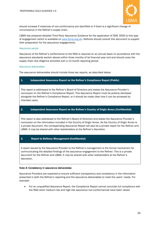

should increase if instances of non-conformance are identified or if there is a significant change of circumstance in the Refiner's supply chain.

LBMA has prepared detailed Third-Party Assurance Guidance for the application of ISAE 3000 to this type of engagement (which is available o[n www.lbma.org.uk\)](http://www.lbma.org.uk/). Refiners should consult this document to support their preparation for the assurance engagements.

#### Assurance period

Assurance of the Refiner's conformance to the RGG is required on an annual basis (in accordance with the assurance standards section above) within three months of its financial year end and should cover the supply chain due diligence activities over a 12-month reporting period.

#### Assurance deliverables

The assurance deliverables should include three key reports, as described below:

#### 1. Independent Assurance Report on the Refiner's Compliance Report (Public)

This report is addressed to the Refiner's Board of Directors and states the Assurance Provider's conclusion on the Refiner's Compliance Report. This Assurance Report must be publicly disclosed alongside the Refiner's Compliance Report, or it should be made clear how it can be accessed by intended users.

#### 2. Independent Assurance Report on the Refiner's Country of Origin Annex (Confidential)

This report is also addressed to the Refiner's Board of Directors and states the Assurance Provider's conclusion on the information included in the Country of Origin Annex. As the Country of Origin Annex is a private document, the corresponding Assurance Report will also be a private report for the Refiner and LBMA. It may be shared with other stakeholders at the Refiner's discretion.

#### 3. Report to Refinery Management (Confidential)

A report issued by the Assurance Provider to the Refiner's management is the formal mechanism for communicating the detailed findings of the assurance engagement to the Refiner. This is a private document for the Refiner and LBMA. It may be shared with other stakeholders at the Refiner's discretion.

#### Note 4: Consistency in assurance deliverables

Assurance Providers are expected to ensure sufficient transparency and consistency in the information presented in both the Refiner's reporting and the assurance deliverables to meet the users' needs. For example:

• For an unqualified Assurance Report, the Compliance Report cannot conclude full compliance with the RGG when medium-risk and high-risk assurance non-conformances have been raised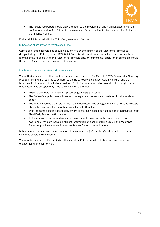

• The Assurance Report should draw attention to the medium-risk and high-risk assurance nonconformances identified (either in the Assurance Report itself or in disclosures in the Refiner's Compliance Report).

Further detail is provided in the Third-Party Assurance Guidance.

#### Submission of assurance deliverables to LBMA

Copies of all three deliverables should be submitted by the Refiner, or the Assurance Provider as designated by the Refiner, to the LBMA Chief Executive via email on an annual basis and within three months of the financial year end. Assurance Providers and/or Refiners may apply for an extension should this not be feasible due to unforeseen circumstances.

#### Multi-site assurance and standards equivalence

Where Refiners source multiple metals that are covered under LBMA's and LPPM's Responsible Sourcing Programmes and are required to conform to the RGG, Responsible Silver Guidance (RSG) and the Responsible Platinum and Palladium Guidance (RPPG), it may be possible to undertake a single multimetal assurance engagement, if the following criteria are met:

- There is one multi-metal refinery processing all metals in scope
- The Refiner's supply chain policies and management systems are consistent for all metals in scope
- The RGG is used as the basis for the multi-metal assurance engagement, i.e., all metals in scope should be assessed for threat finance risk and ESG factors
- Detailed sample testing adequately covers all metals in scope (further guidance is provided in the Third-Party Assurance Guidance)
- Refiners provide sufficient disclosures on each metal in scope in the Compliance Report
- Assurance Providers include sufficient information on each metal in scope in the Assurance Report or provide separate Assurance Reports for each metal in scope.

Refiners may continue to commission separate assurance engagements against the relevant metal Guidance should they choose to.

Where refineries are in different jurisdictions or sites, Refiners must undertake separate assurance engagements for each refinery.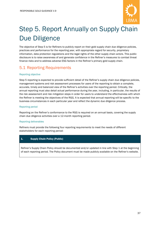

# <span id="page-36-0"></span>Step 5. Report Annually on Supply Chain Due Diligence

The objective of Step 5 is for Refiners to publicly report on their gold supply chain due diligence policies, practices and performance for the reporting year, with appropriate regard for security, proprietary information, data protection regulations and the legal rights of the other supply chain actors. This public disclosure is to raise awareness of and generate confidence in the Refiner's measures to combat threat finance risks and to address adverse ESG factors in the Refiner's primary gold supply chain.

# <span id="page-36-1"></span>5.1 Reporting Requirements

#### Reporting objective

Step 5 reporting is expected to provide sufficient detail of the Refiner's supply chain due diligence policies, management systems and risk assessment processes for users of the reporting to obtain a complete, accurate, timely and balanced view of the Refiner's activities over the reporting period. Critically, the annual reporting must also detail actual performance during the year, including, in particular, the results of the risk assessment and risk mitigation steps in order for users to understand the effectiveness with which the Refiner is meeting the objectives of the RGG. It is expected that annual reporting will be specific to the business circumstances in each particular year and reflect the dynamic due diligence process.

#### Reporting period

Reporting on the Refiner's conformance to the RGG is required on an annual basis, covering the supply chain due diligence activities over a 12-month reporting period.

#### Reporting deliverables

Refiners must provide the following four reporting requirements to meet the needs of different stakeholders for each reporting period:

#### 1. Supply Chain Policy (Public)

Refiner's Supply Chain Policy should be documented and/or updated in line with Step 1 at the beginning of each reporting period. The Policy document must be made publicly available on the Refiner's website.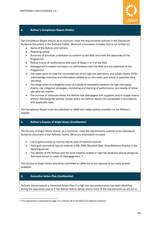

#### 2. Refiner's Compliance Report (Public)

The Compliance Report should, as a minimum, meet the requirements outlined in the Disclosure Guidance Document in the Refiners Toolkit. Minimum information includes (but is not limited to):

- Name of the Refiner and refinery
- Reporting period
- Summary of activities undertaken to conform to the RGG and meet the objectives of the Programme
- Refiner's level of conformance with each of Steps 1 to 5 of the RGG
- Management's overall conclusion on conformance with the RGG and the objectives of the Programme
- The steps taken to map the circumstances of the high-risk operations and supply chains (EDD), methodology, practices and information yielded by on-site visits, and actual or potential risks identified.
- The steps taken to strengthen chain of custody or traceability systems for high-risk supply chains, risk mitigation strategies, monitoring and tracking of performance, and results of followups after six months.
- The number of instances where the Refiner has disengaged with suppliers and/or supply chains without disclosing the identity, except where the Refiner deems this acceptable in accordance with applicable laws.

The Compliance Report must be submitted to LBMA and made publicly available on the Refiner's website.

#### 3. Refiner's Country of Origin Annex (Confidential)

The Country of Origin Annex should, as a minimum, meet the requirements outlined in the Disclosure Guidance document in the Refiners Toolkit. Minimum information includes:

- List of gold sources by country and by type of material sourced
- Total gold sourced by type of material (LSM, ASM, Recycled Gold, Grandfathered Stocks) in the reporting period
- The identity of the Refiner and the local exporter located in high-risk locations should always be disclosed except in cases of disengagement.<sup>[14](#page-37-0)</sup>

The Country of Origin Annex should be submitted to LBMA but is not required to be made publicly available.

#### 4. Corrective Action Plan (Confidential)

Refiners should submit a Corrective Action Plan if a high-risk non-conformance has been identified during the assurance and/or if the Refiner fails to satisfy one or more of the requirements as set out in

<span id="page-37-0"></span><sup>&</sup>lt;sup>14</sup> This requirement is stipulated on page 111, footnote 59 of the OECD Due Diligence Guidance